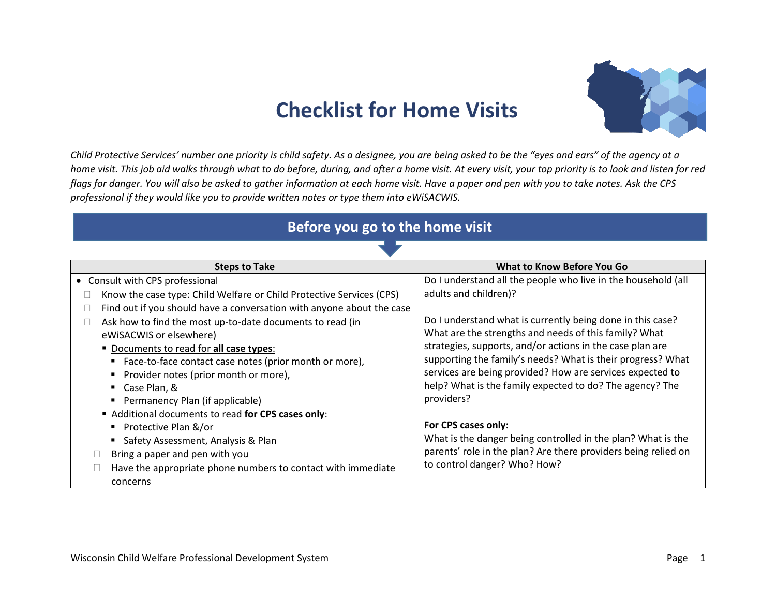## **Checklist for Home Visits**



*Child Protective Services' number one priority is child safety. As a designee, you are being asked to be the "eyes and ears" of the agency at a home visit. This job aid walks through what to do before, during, and after a home visit. At every visit, your top priority is to look and listen for red flags for danger. You will also be asked to gather information at each home visit. Have a paper and pen with you to take notes. Ask the CPS professional if they would like you to provide written notes or type them into eWiSACWIS.*

## **Before you go to the home visit**

| <b>Steps to Take</b>                                                     | What to Know Before You Go                                     |  |  |
|--------------------------------------------------------------------------|----------------------------------------------------------------|--|--|
| • Consult with CPS professional                                          | Do I understand all the people who live in the household (all  |  |  |
| Know the case type: Child Welfare or Child Protective Services (CPS)     | adults and children)?                                          |  |  |
| Find out if you should have a conversation with anyone about the case    |                                                                |  |  |
| Ask how to find the most up-to-date documents to read (in                | Do I understand what is currently being done in this case?     |  |  |
| eWiSACWIS or elsewhere)                                                  | What are the strengths and needs of this family? What          |  |  |
| Documents to read for all case types:                                    | strategies, supports, and/or actions in the case plan are      |  |  |
| ■ Face-to-face contact case notes (prior month or more),                 | supporting the family's needs? What is their progress? What    |  |  |
| ■ Provider notes (prior month or more),                                  | services are being provided? How are services expected to      |  |  |
| ■ Case Plan, &                                                           | help? What is the family expected to do? The agency? The       |  |  |
| Permanency Plan (if applicable)                                          | providers?                                                     |  |  |
| Additional documents to read for CPS cases only:                         |                                                                |  |  |
| Protective Plan &/or                                                     | For CPS cases only:                                            |  |  |
| • Safety Assessment, Analysis & Plan                                     | What is the danger being controlled in the plan? What is the   |  |  |
| Bring a paper and pen with you                                           | parents' role in the plan? Are there providers being relied on |  |  |
| Have the appropriate phone numbers to contact with immediate<br>concerns | to control danger? Who? How?                                   |  |  |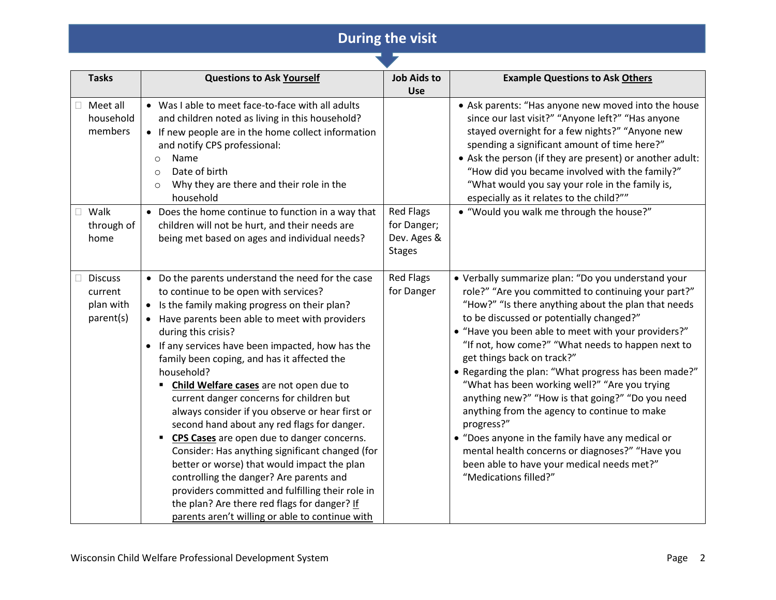## **During the visit**

| <b>Tasks</b>                                        | <b>Questions to Ask Yourself</b>                                                                                                                                                                                                                                                                                                                                                                                                                                                                                                                                                                                                                                                                                                                                                                                                                                                               | <b>Job Aids to</b><br><b>Use</b>                                | <b>Example Questions to Ask Others</b>                                                                                                                                                                                                                                                                                                                                                                                                                                                                                                                                                                                                                                                                                                                          |
|-----------------------------------------------------|------------------------------------------------------------------------------------------------------------------------------------------------------------------------------------------------------------------------------------------------------------------------------------------------------------------------------------------------------------------------------------------------------------------------------------------------------------------------------------------------------------------------------------------------------------------------------------------------------------------------------------------------------------------------------------------------------------------------------------------------------------------------------------------------------------------------------------------------------------------------------------------------|-----------------------------------------------------------------|-----------------------------------------------------------------------------------------------------------------------------------------------------------------------------------------------------------------------------------------------------------------------------------------------------------------------------------------------------------------------------------------------------------------------------------------------------------------------------------------------------------------------------------------------------------------------------------------------------------------------------------------------------------------------------------------------------------------------------------------------------------------|
| Meet all<br>household<br>members                    | • Was I able to meet face-to-face with all adults<br>and children noted as living in this household?<br>• If new people are in the home collect information<br>and notify CPS professional:<br>Name<br>$\circ$<br>Date of birth<br>$\circ$<br>Why they are there and their role in the<br>$\circ$<br>household                                                                                                                                                                                                                                                                                                                                                                                                                                                                                                                                                                                 |                                                                 | • Ask parents: "Has anyone new moved into the house<br>since our last visit?" "Anyone left?" "Has anyone<br>stayed overnight for a few nights?" "Anyone new<br>spending a significant amount of time here?"<br>• Ask the person (if they are present) or another adult:<br>"How did you became involved with the family?"<br>"What would you say your role in the family is,<br>especially as it relates to the child?""                                                                                                                                                                                                                                                                                                                                        |
| Walk<br>through of<br>home                          | • Does the home continue to function in a way that<br>children will not be hurt, and their needs are<br>being met based on ages and individual needs?                                                                                                                                                                                                                                                                                                                                                                                                                                                                                                                                                                                                                                                                                                                                          | <b>Red Flags</b><br>for Danger;<br>Dev. Ages &<br><b>Stages</b> | • "Would you walk me through the house?"                                                                                                                                                                                                                                                                                                                                                                                                                                                                                                                                                                                                                                                                                                                        |
| <b>Discuss</b><br>current<br>plan with<br>parent(s) | • Do the parents understand the need for the case<br>to continue to be open with services?<br>Is the family making progress on their plan?<br>• Have parents been able to meet with providers<br>during this crisis?<br>If any services have been impacted, how has the<br>$\bullet$<br>family been coping, and has it affected the<br>household?<br>Child Welfare cases are not open due to<br>current danger concerns for children but<br>always consider if you observe or hear first or<br>second hand about any red flags for danger.<br>" CPS Cases are open due to danger concerns.<br>Consider: Has anything significant changed (for<br>better or worse) that would impact the plan<br>controlling the danger? Are parents and<br>providers committed and fulfilling their role in<br>the plan? Are there red flags for danger? If<br>parents aren't willing or able to continue with | <b>Red Flags</b><br>for Danger                                  | • Verbally summarize plan: "Do you understand your<br>role?" "Are you committed to continuing your part?"<br>"How?" "Is there anything about the plan that needs<br>to be discussed or potentially changed?"<br>• "Have you been able to meet with your providers?"<br>"If not, how come?" "What needs to happen next to<br>get things back on track?"<br>• Regarding the plan: "What progress has been made?"<br>"What has been working well?" "Are you trying<br>anything new?" "How is that going?" "Do you need<br>anything from the agency to continue to make<br>progress?"<br>• "Does anyone in the family have any medical or<br>mental health concerns or diagnoses?" "Have you<br>been able to have your medical needs met?"<br>"Medications filled?" |